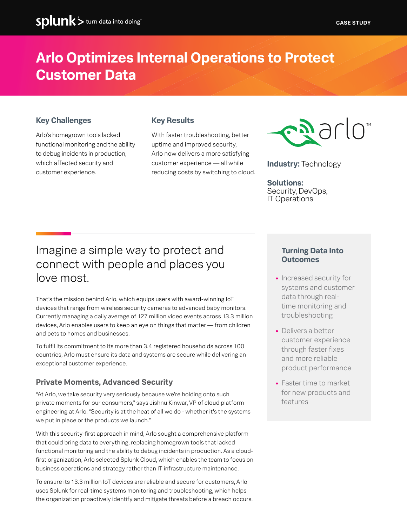### **Arlo Optimizes Internal Operations to Protect Customer Data**

#### **Key Challenges**

Arlo's homegrown tools lacked functional monitoring and the ability to debug incidents in production, which affected security and customer experience.

#### **Key Results**

With faster troubleshooting, better uptime and improved security, Arlo now delivers a more satisfying customer experience — all while reducing costs by switching to cloud.



**Industry:** Technology

**Solutions:** Security, DevOps, IT Operations

### Imagine a simple way to protect and connect with people and places you love most.

That's the mission behind Arlo, which equips users with award-winning IoT devices that range from wireless security cameras to advanced baby monitors. Currently managing a daily average of 127 million video events across 13.3 million devices, Arlo enables users to keep an eye on things that matter — from children and pets to homes and businesses.

To fulfil its commitment to its more than 3.4 registered households across 100 countries, Arlo must ensure its data and systems are secure while delivering an exceptional customer experience.

#### **Private Moments, Advanced Security**

"At Arlo, we take security very seriously because we're holding onto such private moments for our consumers," says Jishnu Kinwar, VP of cloud platform engineering at Arlo. "Security is at the heat of all we do - whether it's the systems we put in place or the products we launch."

With this security-first approach in mind, Arlo sought a comprehensive platform that could bring data to everything, replacing homegrown tools that lacked functional monitoring and the ability to debug incidents in production. As a cloudfirst organization, Arlo selected Splunk Cloud, which enables the team to focus on business operations and strategy rather than IT infrastructure maintenance.

To ensure its 13.3 million IoT devices are reliable and secure for customers, Arlo uses Splunk for real-time systems monitoring and troubleshooting, which helps the organization proactively identify and mitigate threats before a breach occurs.

#### **Turning Data Into Outcomes**

- **•** Increased security for systems and customer data through realtime monitoring and troubleshooting
- **•** Delivers a better customer experience through faster fixes and more reliable product performance
- **•** Faster time to market for new products and features